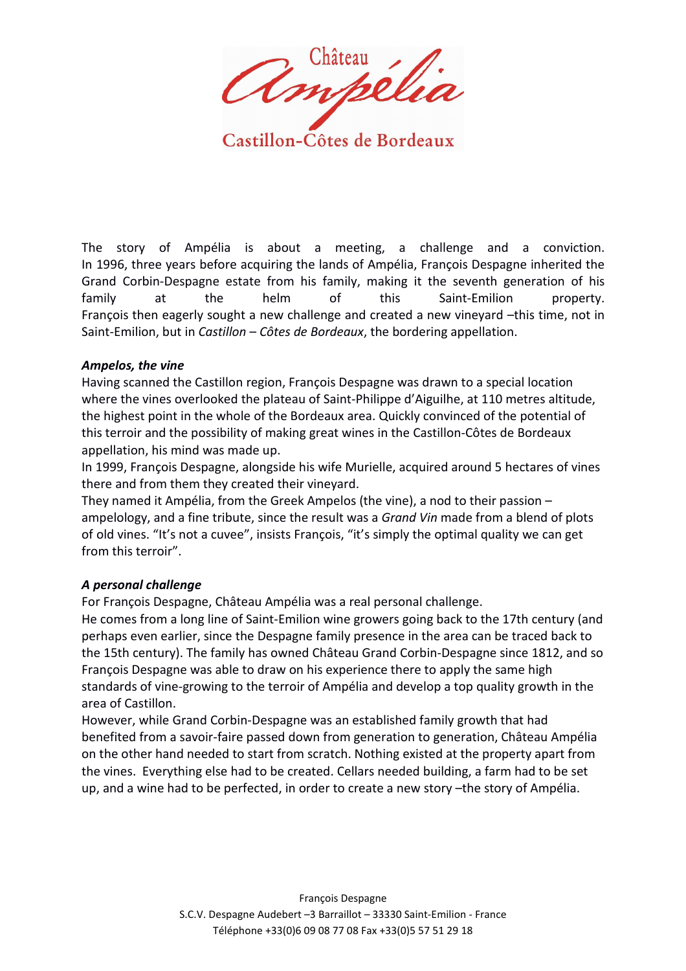Ampélia

Castillon-Côtes de Bordeaux

The story of Ampélia is about a meeting, a challenge and a conviction. In 1996, three years before acquiring the lands of Ampélia, François Despagne inherited the Grand Corbin-Despagne estate from his family, making it the seventh generation of his family at the helm of this Saint-Emilion property. François then eagerly sought a new challenge and created a new vineyard -this time, not in Saint-Emilion, but in *Castillon – Côtes de Bordeaux*, the bordering appellation.

#### *Ampelos, the vine*

Having scanned the Castillon region, François Despagne was drawn to a special location where the vines overlooked the plateau of Saint-Philippe d'Aiguilhe, at 110 metres altitude, the highest point in the whole of the Bordeaux area. Quickly convinced of the potential of this terroir and the possibility of making great wines in the Castillon-Côtes de Bordeaux appellation, his mind was made up.

In 1999, François Despagne, alongside his wife Murielle, acquired around 5 hectares of vines there and from them they created their vineyard.

They named it Ampélia, from the Greek Ampelos (the vine), a nod to their passion – ampelology, and a fine tribute, since the result was a *Grand Vin* made from a blend of plots of old vines. "It's not a cuvee", insists François, "it's simply the optimal quality we can get from this terroir".

## *A personal challenge*

For François Despagne, Château Ampélia was a real personal challenge.

He comes from a long line of Saint-Emilion wine growers going back to the 17th century (and perhaps even earlier, since the Despagne family presence in the area can be traced back to the 15th century). The family has owned Château Grand Corbin-Despagne since 1812, and so François Despagne was able to draw on his experience there to apply the same high standards of vine-growing to the terroir of Ampélia and develop a top quality growth in the area of Castillon.

However, while Grand Corbin-Despagne was an established family growth that had benefited from a savoir-faire passed down from generation to generation, Château Ampélia on the other hand needed to start from scratch. Nothing existed at the property apart from the vines. Everything else had to be created. Cellars needed building, a farm had to be set up, and a wine had to be perfected, in order to create a new story –the story of Ampélia.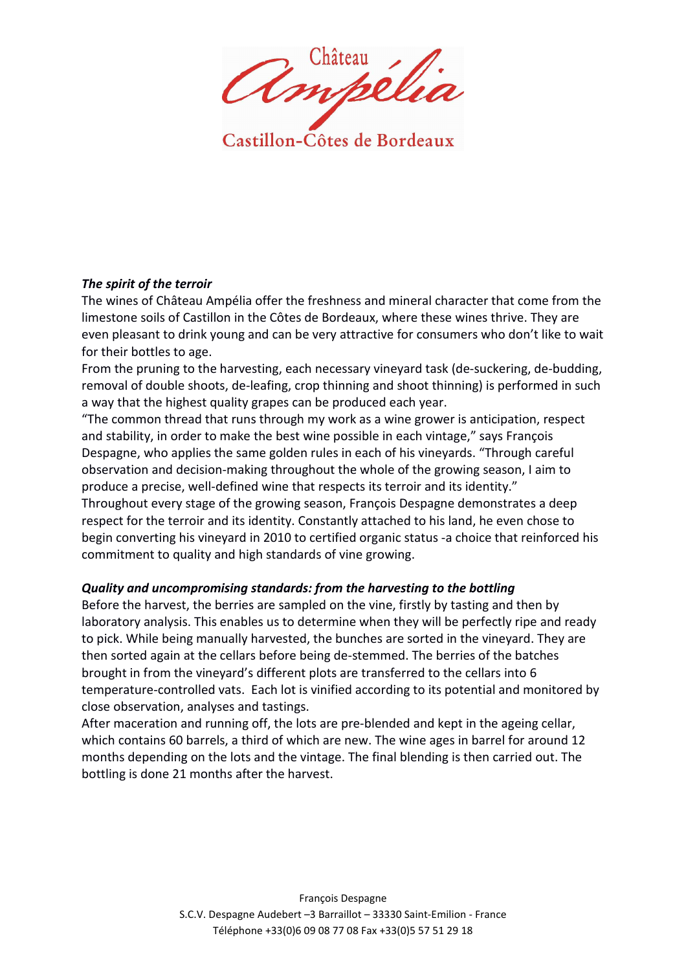Ampélia

Castillon-Côtes de Bordeaux

### *The spirit of the terroir*

The wines of Château Ampélia offer the freshness and mineral character that come from the limestone soils of Castillon in the Côtes de Bordeaux, where these wines thrive. They are even pleasant to drink young and can be very attractive for consumers who don't like to wait for their bottles to age.

From the pruning to the harvesting, each necessary vineyard task (de-suckering, de-budding, removal of double shoots, de-leafing, crop thinning and shoot thinning) is performed in such a way that the highest quality grapes can be produced each year.

"The common thread that runs through my work as a wine grower is anticipation, respect and stability, in order to make the best wine possible in each vintage," says François Despagne, who applies the same golden rules in each of his vineyards. "Through careful observation and decision-making throughout the whole of the growing season, I aim to produce a precise, well-defined wine that respects its terroir and its identity."

Throughout every stage of the growing season, François Despagne demonstrates a deep respect for the terroir and its identity. Constantly attached to his land, he even chose to begin converting his vineyard in 2010 to certified organic status -a choice that reinforced his commitment to quality and high standards of vine growing.

## *Quality and uncompromising standards: from the harvesting to the bottling*

Before the harvest, the berries are sampled on the vine, firstly by tasting and then by laboratory analysis. This enables us to determine when they will be perfectly ripe and ready to pick. While being manually harvested, the bunches are sorted in the vineyard. They are then sorted again at the cellars before being de-stemmed. The berries of the batches brought in from the vineyard's different plots are transferred to the cellars into 6 temperature-controlled vats. Each lot is vinified according to its potential and monitored by close observation, analyses and tastings.

After maceration and running off, the lots are pre-blended and kept in the ageing cellar, which contains 60 barrels, a third of which are new. The wine ages in barrel for around 12 months depending on the lots and the vintage. The final blending is then carried out. The bottling is done 21 months after the harvest.